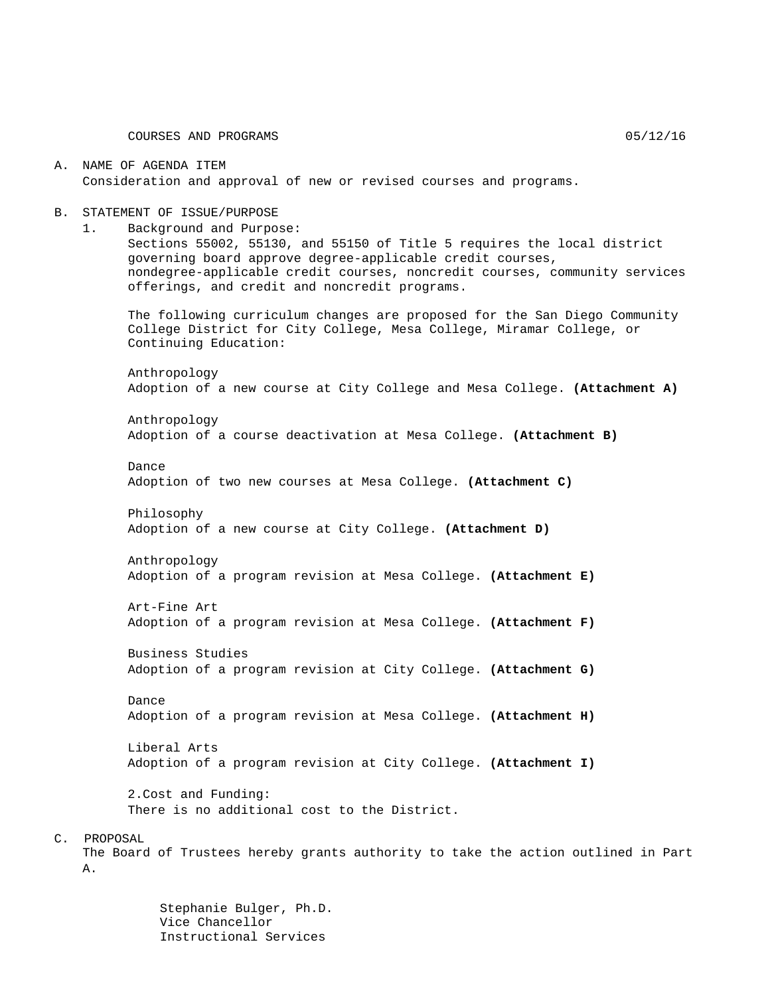#### A. NAME OF AGENDA ITEM Consideration and approval of new or revised courses and programs.

#### B. STATEMENT OF ISSUE/PURPOSE

1. Background and Purpose:

Sections 55002, 55130, and 55150 of Title 5 requires the local district governing board approve degree-applicable credit courses, nondegree-applicable credit courses, noncredit courses, community services offerings, and credit and noncredit programs.

The following curriculum changes are proposed for the San Diego Community College District for City College, Mesa College, Miramar College, or Continuing Education:

Anthropology Adoption of a new course at City College and Mesa College. **(Attachment A)**

Anthropology Adoption of a course deactivation at Mesa College. **(Attachment B)**

Dance Adoption of two new courses at Mesa College. **(Attachment C)**

Philosophy Adoption of a new course at City College. **(Attachment D)**

Anthropology Adoption of a program revision at Mesa College. **(Attachment E)**

Art-Fine Art Adoption of a program revision at Mesa College. **(Attachment F)**

Business Studies Adoption of a program revision at City College. **(Attachment G)**

Dance Adoption of a program revision at Mesa College. **(Attachment H)**

Liberal Arts Adoption of a program revision at City College. **(Attachment I)**

2.Cost and Funding: There is no additional cost to the District.

#### C. PROPOSAL

The Board of Trustees hereby grants authority to take the action outlined in Part A.

> Stephanie Bulger, Ph.D. Vice Chancellor Instructional Services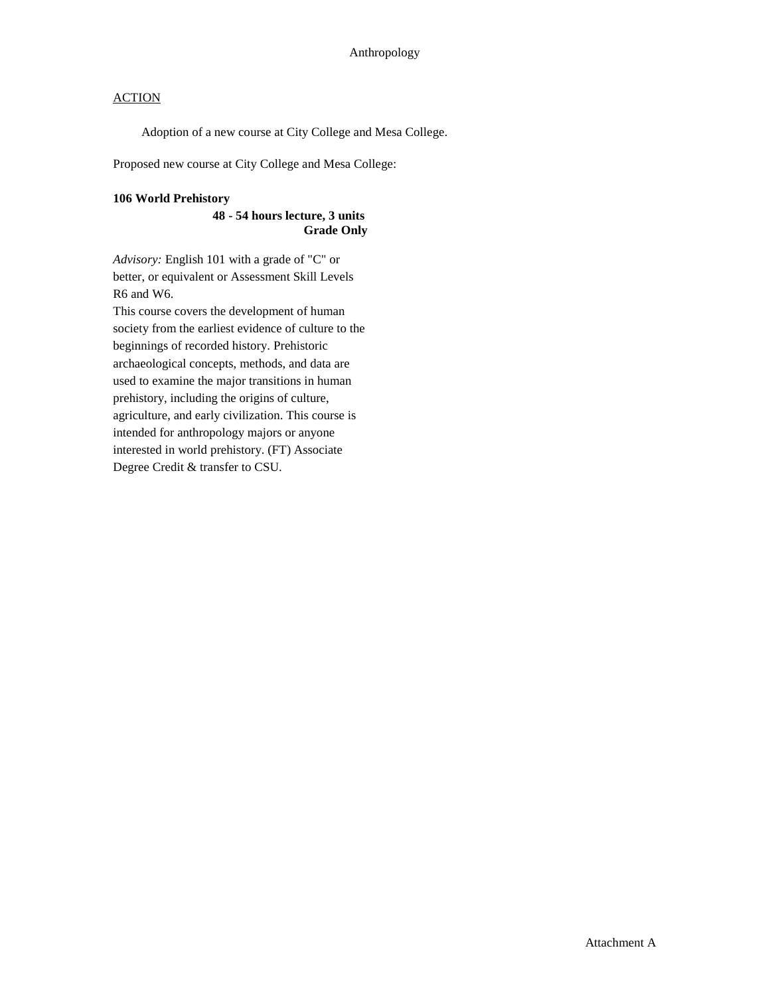Adoption of a new course at City College and Mesa College.

Proposed new course at City College and Mesa College:

### **106 World Prehistory**

#### **48 - 54 hours lecture, 3 units Grade Only**

*Advisory:* English 101 with a grade of "C" or better, or equivalent or Assessment Skill Levels R6 and W6.

This course covers the development of human society from the earliest evidence of culture to the beginnings of recorded history. Prehistoric archaeological concepts, methods, and data are used to examine the major transitions in human prehistory, including the origins of culture, agriculture, and early civilization. This course is intended for anthropology majors or anyone interested in world prehistory. (FT) Associate Degree Credit & transfer to CSU.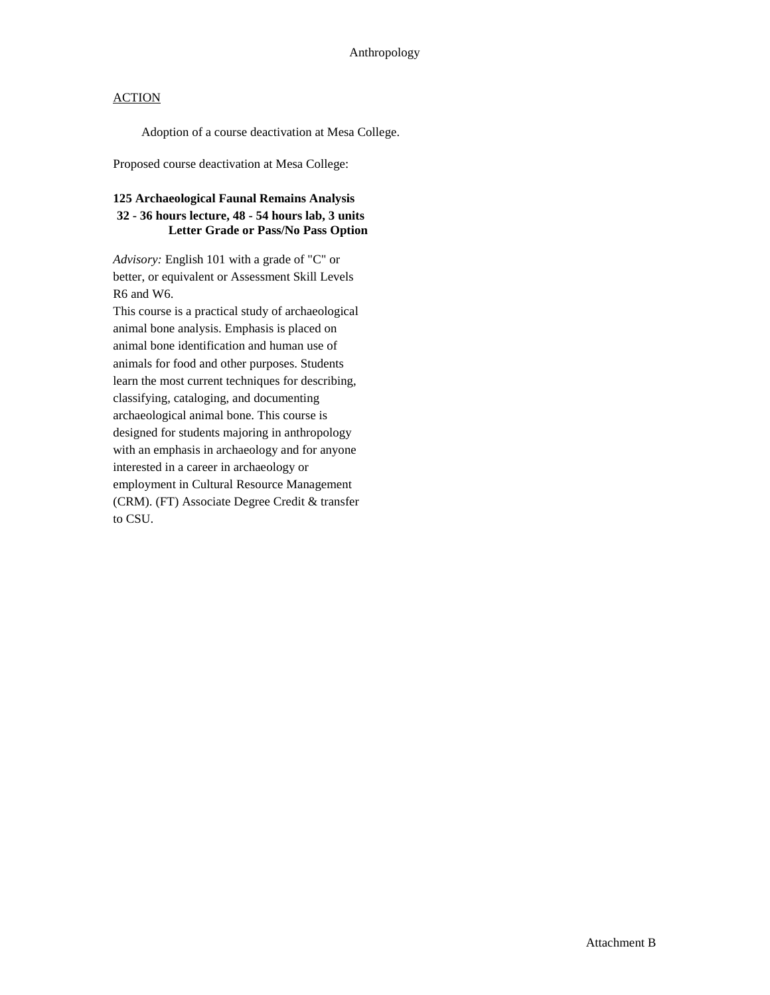Adoption of a course deactivation at Mesa College.

Proposed course deactivation at Mesa College:

### **125 Archaeological Faunal Remains Analysis 32 - 36 hours lecture, 48 - 54 hours lab, 3 units Letter Grade or Pass/No Pass Option**

*Advisory:* English 101 with a grade of "C" or better, or equivalent or Assessment Skill Levels R6 and W6.

This course is a practical study of archaeological animal bone analysis. Emphasis is placed on animal bone identification and human use of animals for food and other purposes. Students learn the most current techniques for describing, classifying, cataloging, and documenting archaeological animal bone. This course is designed for students majoring in anthropology with an emphasis in archaeology and for anyone interested in a career in archaeology or employment in Cultural Resource Management (CRM). (FT) Associate Degree Credit & transfer to CSU.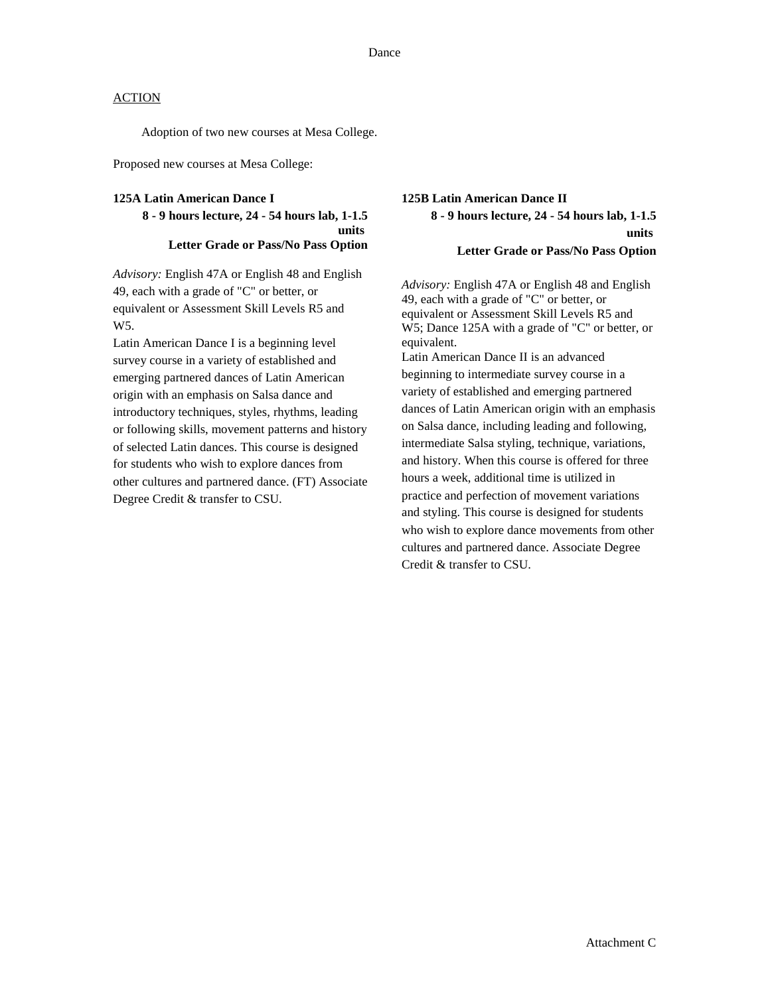Adoption of two new courses at Mesa College.

Proposed new courses at Mesa College:

#### **125A Latin American Dance I**

### **8 - 9 hours lecture, 24 - 54 hours lab, 1-1.5 units Letter Grade or Pass/No Pass Option**

*Advisory:* English 47A or English 48 and English 49, each with a grade of "C" or better, or equivalent or Assessment Skill Levels R5 and W<sub>5</sub>.

Latin American Dance I is a beginning level survey course in a variety of established and emerging partnered dances of Latin American origin with an emphasis on Salsa dance and introductory techniques, styles, rhythms, leading or following skills, movement patterns and history of selected Latin dances. This course is designed for students who wish to explore dances from other cultures and partnered dance. (FT) Associate Degree Credit & transfer to CSU.

## **125B Latin American Dance II 8 - 9 hours lecture, 24 - 54 hours lab, 1-1.5 units Letter Grade or Pass/No Pass Option**

*Advisory:* English 47A or English 48 and English 49, each with a grade of "C" or better, or equivalent or Assessment Skill Levels R5 and W5; Dance 125A with a grade of "C" or better, or equivalent. Latin American Dance II is an advanced beginning to intermediate survey course in a

variety of established and emerging partnered dances of Latin American origin with an emphasis on Salsa dance, including leading and following, intermediate Salsa styling, technique, variations, and history. When this course is offered for three hours a week, additional time is utilized in practice and perfection of movement variations and styling. This course is designed for students who wish to explore dance movements from other cultures and partnered dance. Associate Degree Credit & transfer to CSU.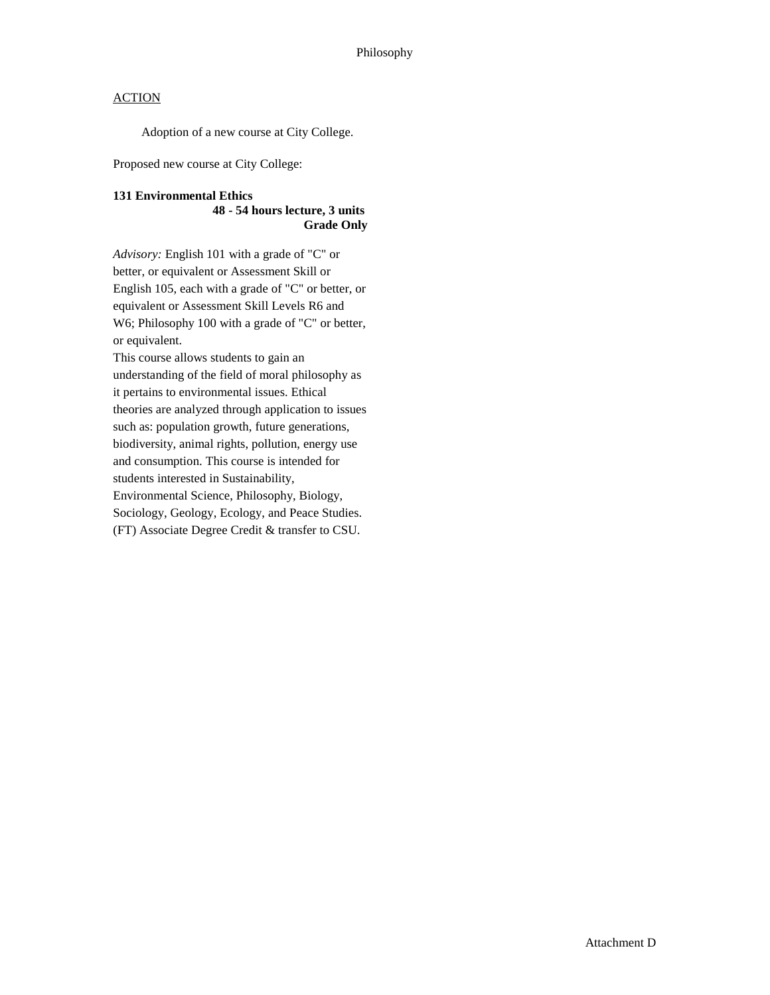Adoption of a new course at City College.

Proposed new course at City College:

#### **131 Environmental Ethics 48 - 54 hours lecture, 3 units Grade Only**

*Advisory:* English 101 with a grade of "C" or better, or equivalent or Assessment Skill or English 105, each with a grade of "C" or better, or equivalent or Assessment Skill Levels R6 and W6; Philosophy 100 with a grade of "C" or better, or equivalent.

This course allows students to gain an understanding of the field of moral philosophy as it pertains to environmental issues. Ethical theories are analyzed through application to issues such as: population growth, future generations, biodiversity, animal rights, pollution, energy use and consumption. This course is intended for students interested in Sustainability, Environmental Science, Philosophy, Biology, Sociology, Geology, Ecology, and Peace Studies. (FT) Associate Degree Credit & transfer to CSU.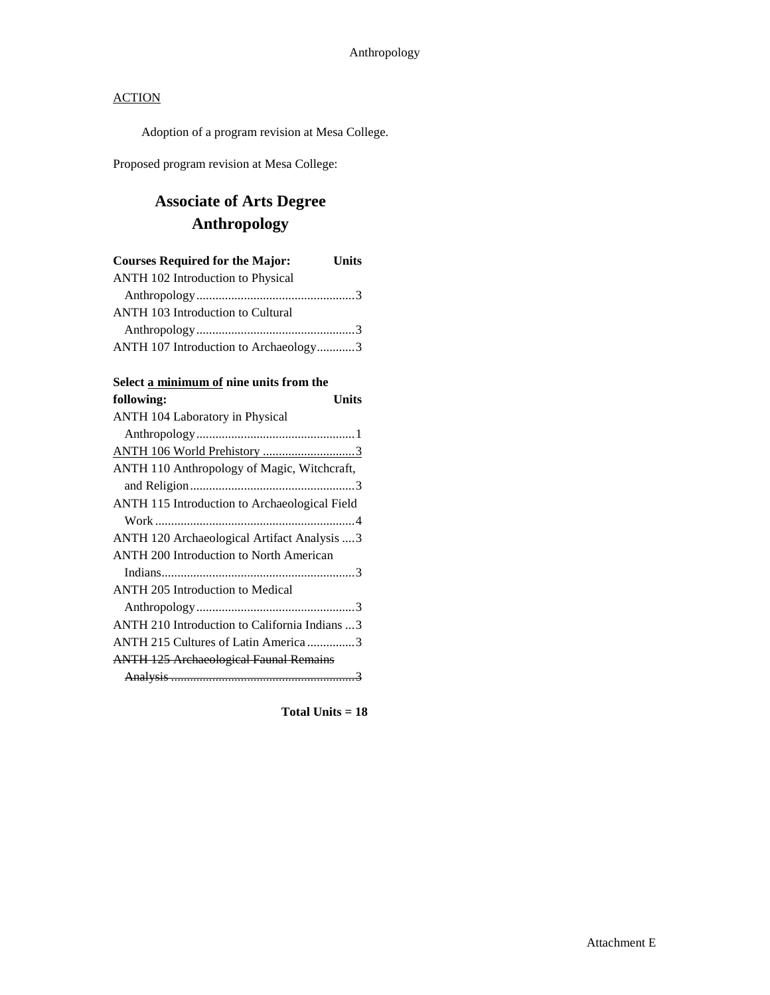Adoption of a program revision at Mesa College.

Proposed program revision at Mesa College:

## **Associate of Arts Degree Anthropology**

| <b>Courses Required for the Major:</b>   | <b>Units</b> |
|------------------------------------------|--------------|
| ANTH 102 Introduction to Physical        |              |
|                                          |              |
| <b>ANTH 103 Introduction to Cultural</b> |              |
|                                          |              |
| ANTH 107 Introduction to Archaeology3    |              |

### **Select a minimum of nine units from the**

| following:<br>Units                            |
|------------------------------------------------|
| ANTH 104 Laboratory in Physical                |
|                                                |
| ANTH 106 World Prehistory 3                    |
| ANTH 110 Anthropology of Magic, Witchcraft,    |
|                                                |
| ANTH 115 Introduction to Archaeological Field  |
|                                                |
| ANTH 120 Archaeological Artifact Analysis  3   |
| <b>ANTH 200 Introduction to North American</b> |
|                                                |
| <b>ANTH 205 Introduction to Medical</b>        |
|                                                |
| ANTH 210 Introduction to California Indians  3 |
| ANTH 215 Cultures of Latin America 3           |
| <b>ANTH 125 Archaeological Faunal Remains</b>  |
|                                                |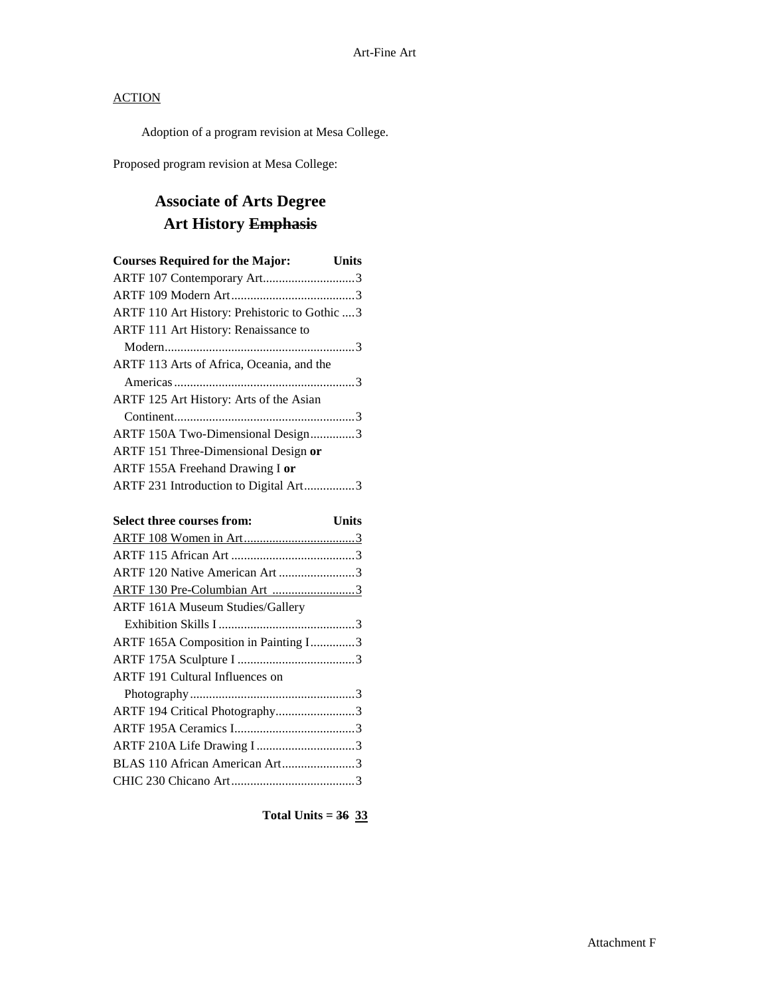Adoption of a program revision at Mesa College.

Proposed program revision at Mesa College:

# **Associate of Arts Degree Art History Emphasis**

| <b>Courses Required for the Major:</b>        | <b>Units</b> |
|-----------------------------------------------|--------------|
| ARTF 107 Contemporary Art3                    |              |
|                                               |              |
| ARTF 110 Art History: Prehistoric to Gothic 3 |              |
| <b>ARTF 111 Art History: Renaissance to</b>   |              |
|                                               |              |
| ARTF 113 Arts of Africa, Oceania, and the     |              |
|                                               |              |
| ARTF 125 Art History: Arts of the Asian       |              |
|                                               |              |
| ARTF 150A Two-Dimensional Design3             |              |
| ARTF 151 Three-Dimensional Design or          |              |
| ARTF 155A Freehand Drawing I or               |              |
| ARTF 231 Introduction to Digital Art3         |              |

| Select three courses from:              | Units |
|-----------------------------------------|-------|
|                                         |       |
|                                         |       |
| ARTF 120 Native American Art 3          |       |
| ARTF 130 Pre-Columbian Art 3            |       |
| <b>ARTF 161A Museum Studies/Gallery</b> |       |
|                                         |       |
| ARTF 165A Composition in Painting I3    |       |
|                                         |       |
| <b>ARTF</b> 191 Cultural Influences on  |       |
|                                         |       |
| ARTF 194 Critical Photography3          |       |
|                                         |       |
| ARTF 210A Life Drawing I3               |       |
| BLAS 110 African American Art3          |       |
|                                         |       |
|                                         |       |

**Total Units = 36 33**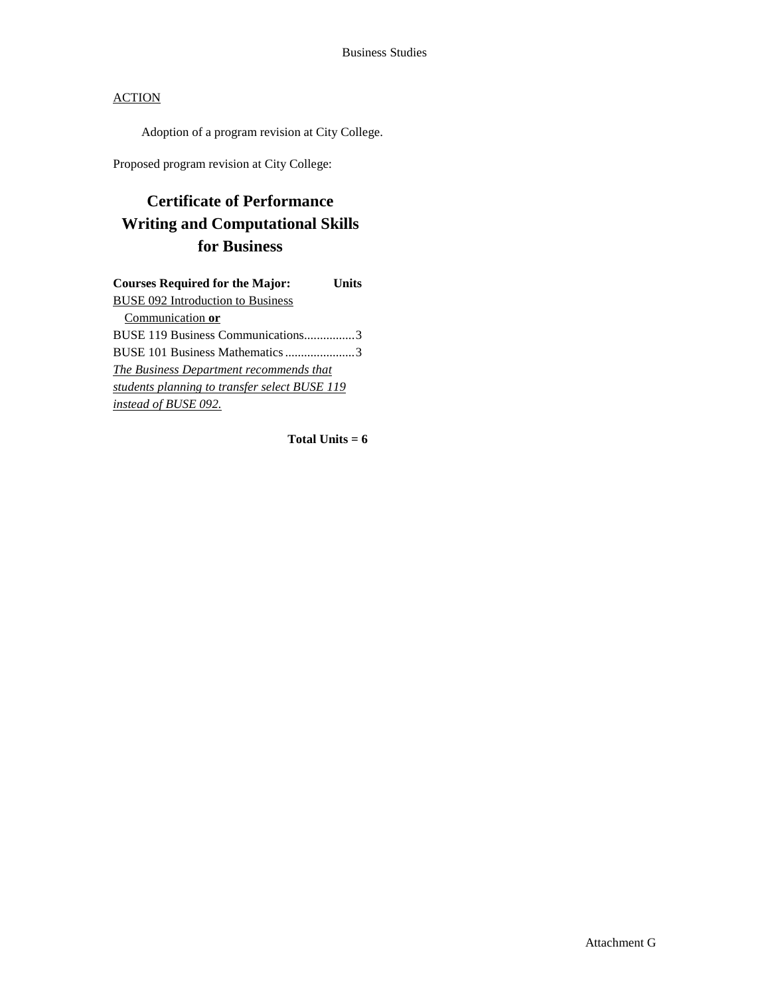Adoption of a program revision at City College.

Proposed program revision at City College:

# **Certificate of Performance Writing and Computational Skills for Business**

| <b>Courses Required for the Major:</b>         | Units |
|------------------------------------------------|-------|
| <b>BUSE 092 Introduction to Business</b>       |       |
| Communication or                               |       |
| BUSE 119 Business Communications3              |       |
| BUSE 101 Business Mathematics 3                |       |
| <b>The Business Department recommends that</b> |       |
| students planning to transfer select BUSE 119  |       |
| instead of BUSE 092.                           |       |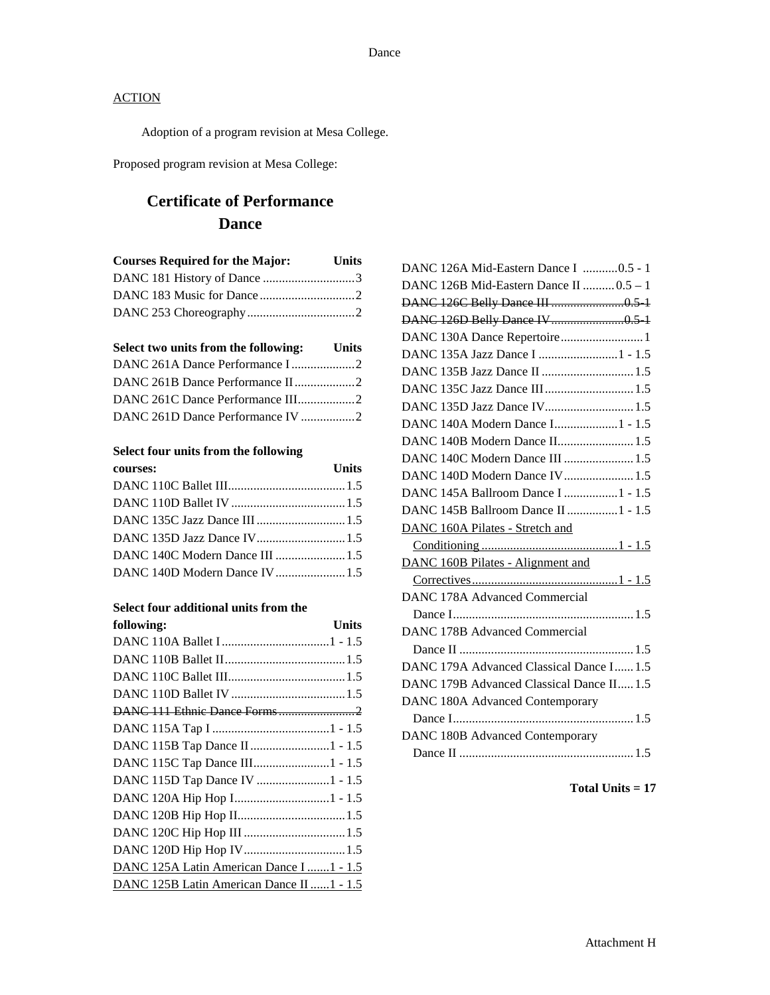Adoption of a program revision at Mesa College.

Proposed program revision at Mesa College:

# **Certificate of Performance Dance**

| <b>Courses Required for the Major:</b> | Units |
|----------------------------------------|-------|
|                                        |       |
|                                        |       |
|                                        |       |

| Select two units from the following: Units |  |
|--------------------------------------------|--|
| DANC 261A Dance Performance I2             |  |
| DANC 261B Dance Performance II2            |  |
| DANC 261C Dance Performance III2           |  |
| DANC 261D Dance Performance IV 2           |  |

### **Select four units from the following**

| courses:                        | Units |
|---------------------------------|-------|
|                                 |       |
|                                 |       |
|                                 |       |
| DANC 135D Jazz Dance IV 1.5     |       |
| DANC 140C Modern Dance III  1.5 |       |
| DANC 140D Modern Dance IV1.5    |       |

#### **Select four additional units from the**

| following:                                 | <b>Units</b> |
|--------------------------------------------|--------------|
|                                            |              |
|                                            |              |
|                                            |              |
|                                            |              |
|                                            |              |
|                                            |              |
| DANC 115B Tap Dance II 1 - 1.5             |              |
| DANC 115C Tap Dance III1 - 1.5             |              |
| DANC 115D Tap Dance IV 1 - 1.5             |              |
| DANC 120A Hip Hop I1 - 1.5                 |              |
|                                            |              |
|                                            |              |
|                                            |              |
| DANC 125A Latin American Dance I  1 - 1.5  |              |
| DANC 125B Latin American Dance II  1 - 1.5 |              |

| DANC 126A Mid-Eastern Dance I 0.5 - 1     |
|-------------------------------------------|
| DANC 126B Mid-Eastern Dance II  0.5 - 1   |
|                                           |
|                                           |
| DANC 130A Dance Repertoire 1              |
| DANC 135A Jazz Dance I 1 - 1.5            |
| DANC 135B Jazz Dance II  1.5              |
| DANC 135C Jazz Dance III 1.5              |
| DANC 135D Jazz Dance IV 1.5               |
| DANC 140A Modern Dance I 1 - 1.5          |
| DANC 140B Modern Dance II 1.5             |
| DANC 140C Modern Dance III  1.5           |
| DANC 140D Modern Dance IV 1.5             |
| DANC 145A Ballroom Dance I 1 - 1.5        |
| DANC 145B Ballroom Dance II 1 - 1.5       |
| DANC 160A Pilates - Stretch and           |
|                                           |
| <b>DANC 160B Pilates - Alignment and</b>  |
|                                           |
| <b>DANC 178A Advanced Commercial</b>      |
|                                           |
| DANC 178B Advanced Commercial             |
|                                           |
| DANC 179A Advanced Classical Dance I 1.5  |
| DANC 179B Advanced Classical Dance II 1.5 |
| DANC 180A Advanced Contemporary           |
|                                           |
| <b>DANC 180B Advanced Contemporary</b>    |
|                                           |